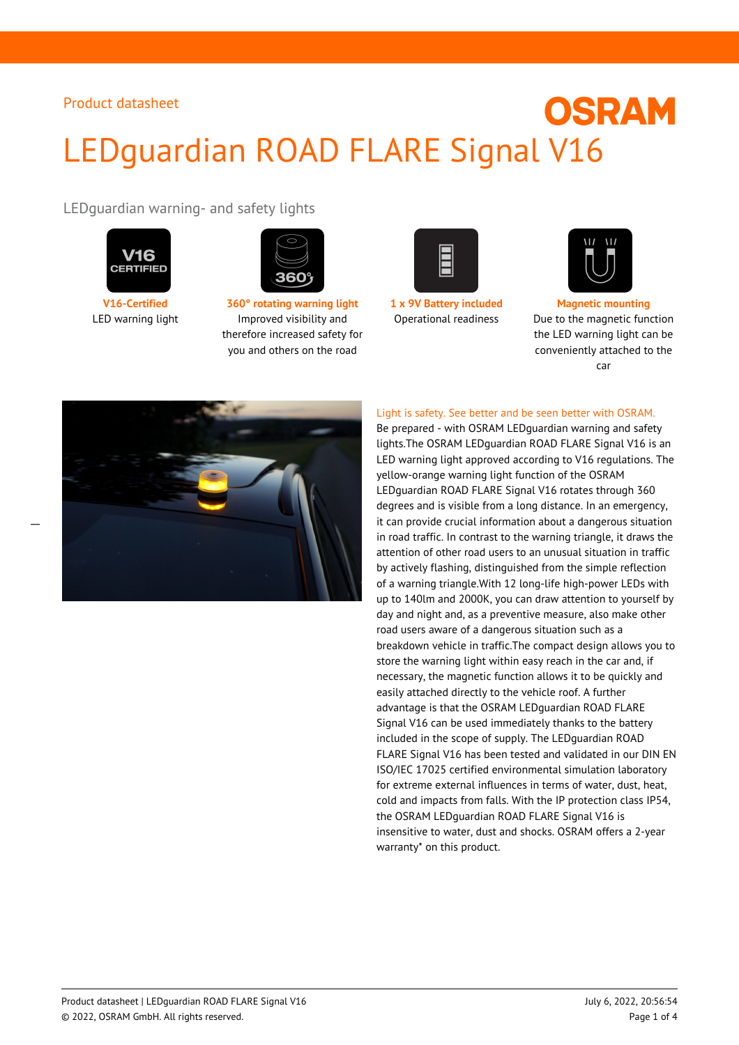# **OSRAM** LEDguardian ROAD FLARE Signal V16

LEDguardian warning- and safety lights





**V16-Certified 360° rotating warning light 1 x 9V Battery included Magnetic mounting** LED warning light Improved visibility and therefore increased safety for you and others on the road





Operational readiness Due to the magnetic function the LED warning light can be conveniently attached to the car



Light is safety. See better and be seen better with OSRAM.

Be prepared - with OSRAM LEDguardian warning and safety lights.The OSRAM LEDguardian ROAD FLARE Signal V16 is an LED warning light approved according to V16 regulations. The yellow-orange warning light function of the OSRAM LEDguardian ROAD FLARE Signal V16 rotates through 360 degrees and is visible from a long distance. In an emergency, it can provide crucial information about a dangerous situation in road traffic. In contrast to the warning triangle, it draws the attention of other road users to an unusual situation in traffic by actively flashing, distinguished from the simple reflection of a warning triangle.With 12 long-life high-power LEDs with up to 140lm and 2000K, you can draw attention to yourself by day and night and, as a preventive measure, also make other road users aware of a dangerous situation such as a breakdown vehicle in traffic.The compact design allows you to store the warning light within easy reach in the car and, if necessary, the magnetic function allows it to be quickly and easily attached directly to the vehicle roof. A further advantage is that the OSRAM LEDguardian ROAD FLARE Signal V16 can be used immediately thanks to the battery included in the scope of supply. The LEDguardian ROAD FLARE Signal V16 has been tested and validated in our DIN EN ISO/IEC 17025 certified environmental simulation laboratory for extreme external influences in terms of water, dust, heat, cold and impacts from falls. With the IP protection class IP54, the OSRAM LEDguardian ROAD FLARE Signal V16 is insensitive to water, dust and shocks. OSRAM offers a 2-year warranty\* on this product.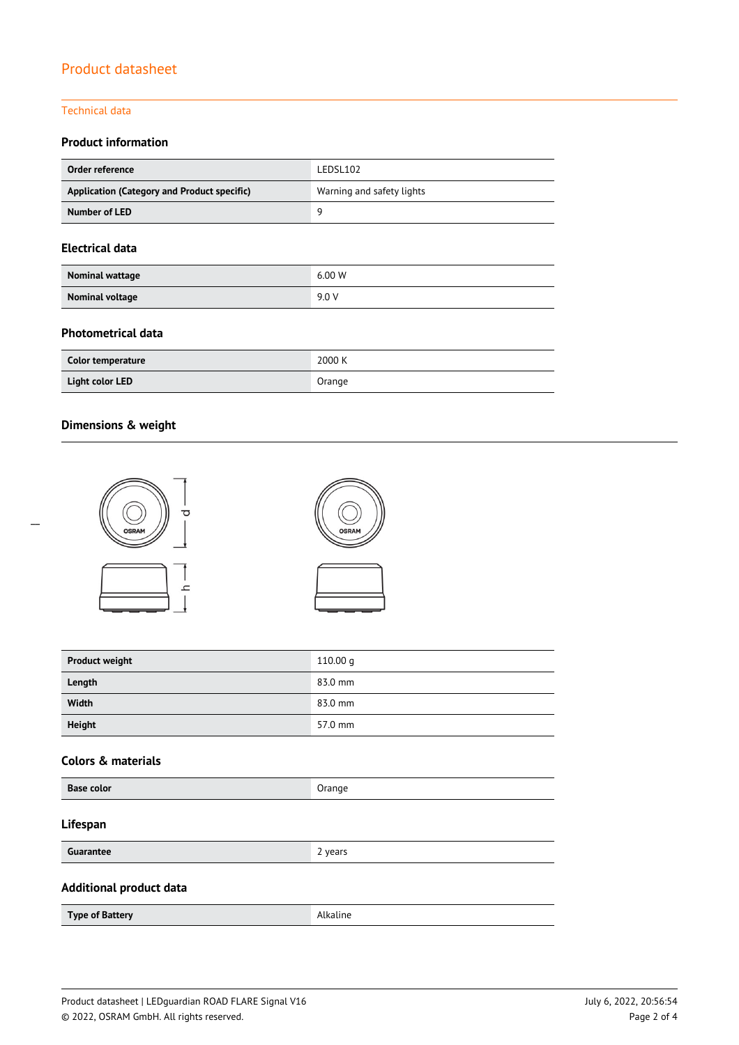#### Technical data

### **Product information**

| Order reference                             | LEDSL102                  |
|---------------------------------------------|---------------------------|
| Application (Category and Product specific) | Warning and safety lights |
| Number of LED                               | Q                         |

#### **Electrical data**

| Nominal wattage        | 6.00 W |
|------------------------|--------|
| <b>Nominal voltage</b> | 9.0 V  |

#### **Photometrical data**

| Color temperature | 2000 K |
|-------------------|--------|
| Light color LED   | Orange |

#### **Dimensions & weight**



| <b>Product weight</b> | 110.00 $q$ |
|-----------------------|------------|
| Length                | 83.0 mm    |
| Width                 | 83.0 mm    |
| Height                | 57.0 mm    |

### **Colors & materials**

| <b>Base color</b><br>Orange |  |
|-----------------------------|--|
|-----------------------------|--|

#### **Lifespan**

| Guarantee | vears           |
|-----------|-----------------|
|           | -<br>. <b>.</b> |

#### **Additional product data**

| Type of Battery | Alkaline |
|-----------------|----------|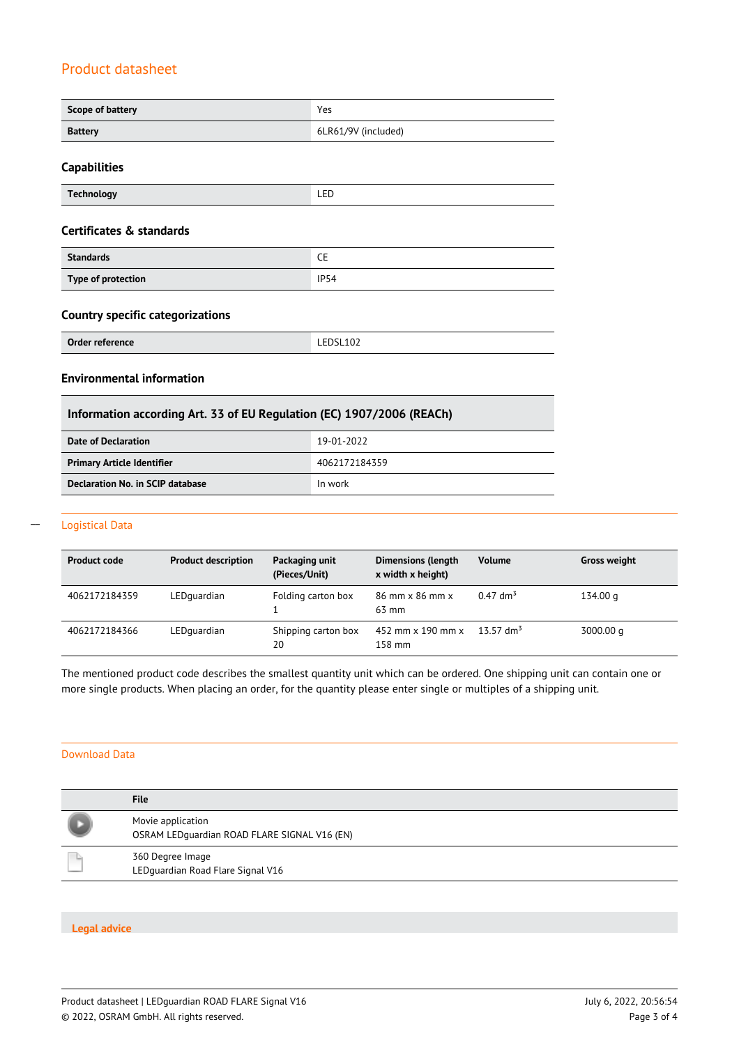| Scope of battery | Yes                 |
|------------------|---------------------|
| <b>Battery</b>   | 6LR61/9V (included) |

#### **Capabilities**

| Technology | ---<br>and the control of the control of |
|------------|------------------------------------------|
|            |                                          |

#### **Certificates & standards**

| <b>Standards</b>   | ∼           |
|--------------------|-------------|
| Type of protection | <b>IP54</b> |

#### **Country specific categorizations**

| Order reference | $F_{D}C1 402$<br>LEDSLIUZ<br>_______<br>and the contract of the contract of |
|-----------------|-----------------------------------------------------------------------------|
|-----------------|-----------------------------------------------------------------------------|

#### **Environmental information**

| Information according Art. 33 of EU Regulation (EC) 1907/2006 (REACh) |               |
|-----------------------------------------------------------------------|---------------|
| Date of Declaration                                                   | 19-01-2022    |
| <b>Primary Article Identifier</b>                                     | 4062172184359 |
| Declaration No. in SCIP database                                      | In work       |

#### Logistical Data  $\overline{a}$

| <b>Product code</b> | <b>Product description</b> | Packaging unit<br>(Pieces/Unit) | <b>Dimensions (length</b><br>x width x height) | <b>Volume</b>          | <b>Gross weight</b> |
|---------------------|----------------------------|---------------------------------|------------------------------------------------|------------------------|---------------------|
| 4062172184359       | LEDquardian                | Folding carton box              | 86 mm x 86 mm x<br>$63 \text{ mm}$             | $0.47$ dm <sup>3</sup> | 134.00 g            |
| 4062172184366       | LEDquardian                | Shipping carton box<br>20       | 452 mm x 190 mm x<br>158 mm                    | 13.57 dm <sup>3</sup>  | 3000.00 q           |

The mentioned product code describes the smallest quantity unit which can be ordered. One shipping unit can contain one or more single products. When placing an order, for the quantity please enter single or multiples of a shipping unit.

#### Download Data

| <b>File</b>                                                       |
|-------------------------------------------------------------------|
| Movie application<br>OSRAM LEDquardian ROAD FLARE SIGNAL V16 (EN) |
| 360 Degree Image<br>LEDquardian Road Flare Signal V16             |

#### **Legal advice**